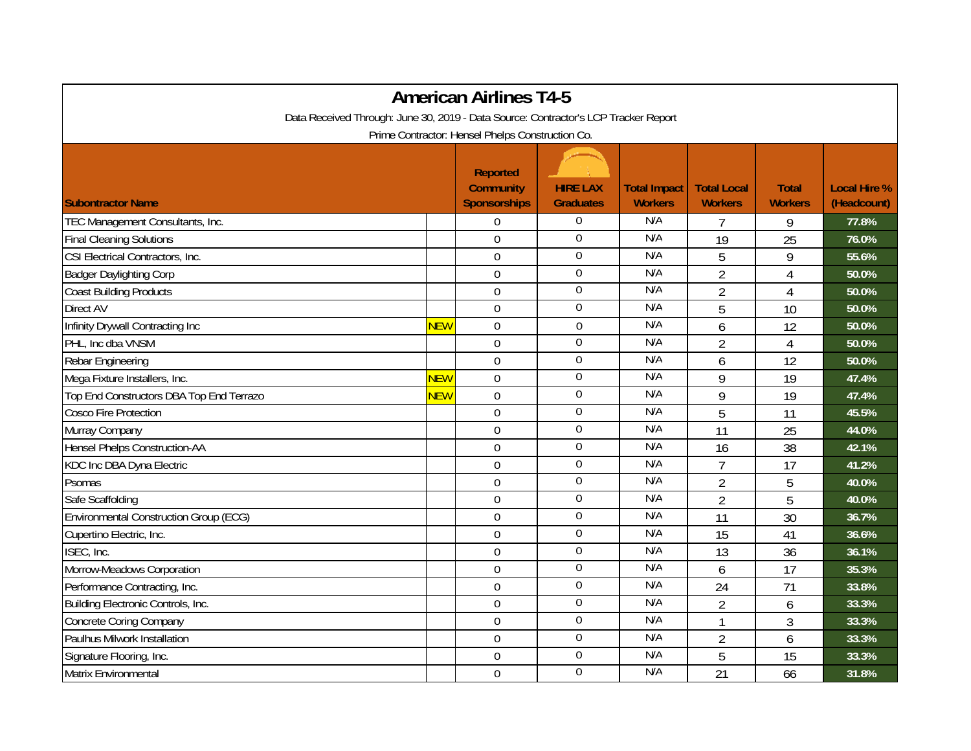| <b>American Airlines T4-5</b>                                                       |            |                                                            |                                     |                                       |                                      |                                |                                    |  |  |  |  |  |
|-------------------------------------------------------------------------------------|------------|------------------------------------------------------------|-------------------------------------|---------------------------------------|--------------------------------------|--------------------------------|------------------------------------|--|--|--|--|--|
| Data Received Through: June 30, 2019 - Data Source: Contractor's LCP Tracker Report |            |                                                            |                                     |                                       |                                      |                                |                                    |  |  |  |  |  |
| Prime Contractor: Hensel Phelps Construction Co.                                    |            |                                                            |                                     |                                       |                                      |                                |                                    |  |  |  |  |  |
| <b>Subontractor Name</b>                                                            |            | <b>Reported</b><br><b>Community</b><br><b>Sponsorships</b> | <b>HIRE LAX</b><br><b>Graduates</b> | <b>Total Impact</b><br><b>Workers</b> | <b>Total Local</b><br><b>Workers</b> | <b>Total</b><br><b>Workers</b> | <b>Local Hire %</b><br>(Headcount) |  |  |  |  |  |
| TEC Management Consultants, Inc.                                                    |            | $\overline{0}$                                             | $\overline{0}$                      | N/A                                   | 7                                    | 9                              | 77.8%                              |  |  |  |  |  |
| <b>Final Cleaning Solutions</b>                                                     |            | $\mathbf 0$                                                | $\boldsymbol{0}$                    | N/A                                   | 19                                   | 25                             | 76.0%                              |  |  |  |  |  |
| CSI Electrical Contractors, Inc.                                                    |            | $\overline{0}$                                             | $\mathbf 0$                         | N/A                                   | 5                                    | 9                              | 55.6%                              |  |  |  |  |  |
| <b>Badger Daylighting Corp</b>                                                      |            | $\Omega$                                                   | $\overline{0}$                      | N/A                                   | $\overline{2}$                       | $\overline{4}$                 | 50.0%                              |  |  |  |  |  |
| <b>Coast Building Products</b>                                                      |            | $\mathbf 0$                                                | 0                                   | N/A                                   | $\overline{2}$                       | $\overline{4}$                 | 50.0%                              |  |  |  |  |  |
| Direct AV                                                                           |            | $\mathbf 0$                                                | $\boldsymbol{0}$                    | N/A                                   | 5                                    | 10                             | 50.0%                              |  |  |  |  |  |
| Infinity Drywall Contracting Inc                                                    | <b>NEW</b> | $\mathbf 0$                                                | $\boldsymbol{0}$                    | N/A                                   | 6                                    | 12                             | 50.0%                              |  |  |  |  |  |
| PHL, Inc dba VNSM                                                                   |            | $\overline{0}$                                             | $\overline{0}$                      | N/A                                   | $\overline{2}$                       | 4                              | 50.0%                              |  |  |  |  |  |
| Rebar Engineering                                                                   |            | $\mathbf 0$                                                | 0                                   | N/A                                   | 6                                    | 12                             | 50.0%                              |  |  |  |  |  |
| Mega Fixture Installers, Inc.                                                       | <b>NEW</b> | $\overline{0}$                                             | $\boldsymbol{0}$                    | N/A                                   | 9                                    | 19                             | 47.4%                              |  |  |  |  |  |
| Top End Constructors DBA Top End Terrazo                                            | <b>NEW</b> | $\overline{0}$                                             | $\boldsymbol{0}$                    | N/A                                   | 9                                    | 19                             | 47.4%                              |  |  |  |  |  |
| Cosco Fire Protection                                                               |            | $\overline{0}$                                             | $\overline{0}$                      | N/A                                   | 5                                    | 11                             | 45.5%                              |  |  |  |  |  |
| Murray Company                                                                      |            | $\mathbf 0$                                                | $\boldsymbol{0}$                    | N/A                                   | 11                                   | 25                             | 44.0%                              |  |  |  |  |  |
| Hensel Phelps Construction-AA                                                       |            | $\mathbf 0$                                                | $\boldsymbol{0}$                    | N/A                                   | 16                                   | 38                             | 42.1%                              |  |  |  |  |  |
| KDC Inc DBA Dyna Electric                                                           |            | $\overline{0}$                                             | 0                                   | N/A                                   | $\overline{7}$                       | 17                             | 41.2%                              |  |  |  |  |  |
| Psomas                                                                              |            | $\overline{0}$                                             | $\overline{0}$                      | N/A                                   | $\overline{2}$                       | 5                              | 40.0%                              |  |  |  |  |  |
| Safe Scaffolding                                                                    |            | $\overline{0}$                                             | 0                                   | N/A                                   | $\overline{2}$                       | 5                              | 40.0%                              |  |  |  |  |  |
| Environmental Construction Group (ECG)                                              |            | $\mathbf 0$                                                | $\boldsymbol{0}$                    | N/A                                   | 11                                   | 30                             | 36.7%                              |  |  |  |  |  |
| Cupertino Electric, Inc.                                                            |            | $\mathbf 0$                                                | $\boldsymbol{0}$                    | N/A                                   | 15                                   | 41                             | 36.6%                              |  |  |  |  |  |
| ISEC, Inc.                                                                          |            | $\boldsymbol{0}$                                           | $\overline{0}$                      | N/A                                   | 13                                   | 36                             | 36.1%                              |  |  |  |  |  |
| Morrow-Meadows Corporation                                                          |            | $\mathbf 0$                                                | $\overline{0}$                      | N/A                                   | 6                                    | 17                             | 35.3%                              |  |  |  |  |  |
| Performance Contracting, Inc.                                                       |            | $\mathbf 0$                                                | $\boldsymbol{0}$                    | N/A                                   | 24                                   | 71                             | 33.8%                              |  |  |  |  |  |
| Building Electronic Controls, Inc.                                                  |            | $\overline{0}$                                             | $\mathbf 0$                         | N/A                                   | $\overline{2}$                       | 6                              | 33.3%                              |  |  |  |  |  |
| <b>Concrete Coring Company</b>                                                      |            | $\overline{0}$                                             | $\overline{0}$                      | N/A                                   | $\overline{1}$                       | 3                              | 33.3%                              |  |  |  |  |  |
| Paulhus Milwork Installation                                                        |            | $\mathbf 0$                                                | $\overline{0}$                      | N/A                                   | $\overline{2}$                       | 6                              | 33.3%                              |  |  |  |  |  |
| Signature Flooring, Inc.                                                            |            | $\mathbf 0$                                                | $\boldsymbol{0}$                    | N/A                                   | 5                                    | 15                             | 33.3%                              |  |  |  |  |  |
| Matrix Environmental                                                                |            | $\mathbf 0$                                                | 0                                   | N/A                                   | 21                                   | 66                             | 31.8%                              |  |  |  |  |  |